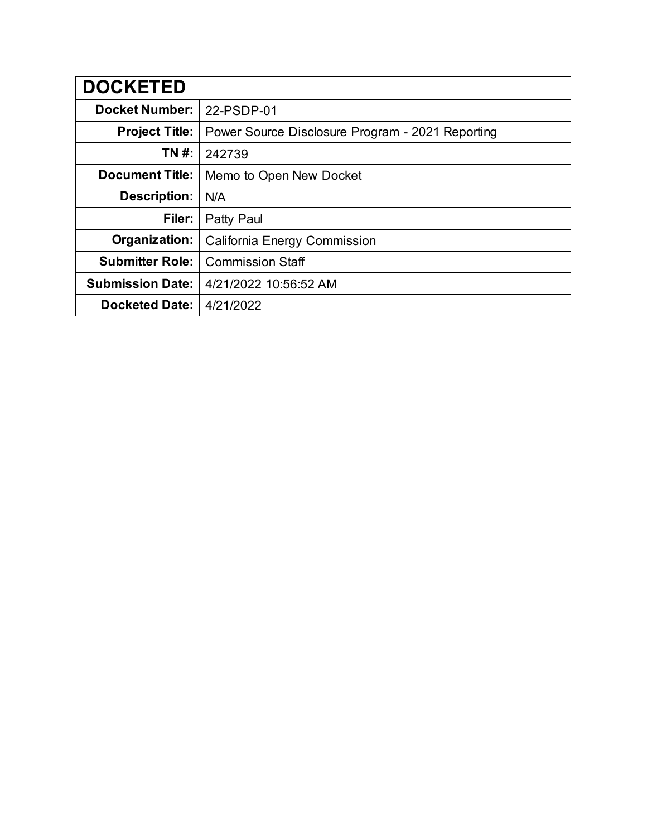| <b>DOCKETED</b>         |                                                  |
|-------------------------|--------------------------------------------------|
| <b>Docket Number:</b>   | 22-PSDP-01                                       |
| <b>Project Title:</b>   | Power Source Disclosure Program - 2021 Reporting |
| TN #:                   | 242739                                           |
| <b>Document Title:</b>  | Memo to Open New Docket                          |
| Description:            | N/A                                              |
| Filer:                  | Patty Paul                                       |
| Organization:           | California Energy Commission                     |
| <b>Submitter Role:</b>  | <b>Commission Staff</b>                          |
| <b>Submission Date:</b> | 4/21/2022 10:56:52 AM                            |
| <b>Docketed Date:</b>   | 4/21/2022                                        |